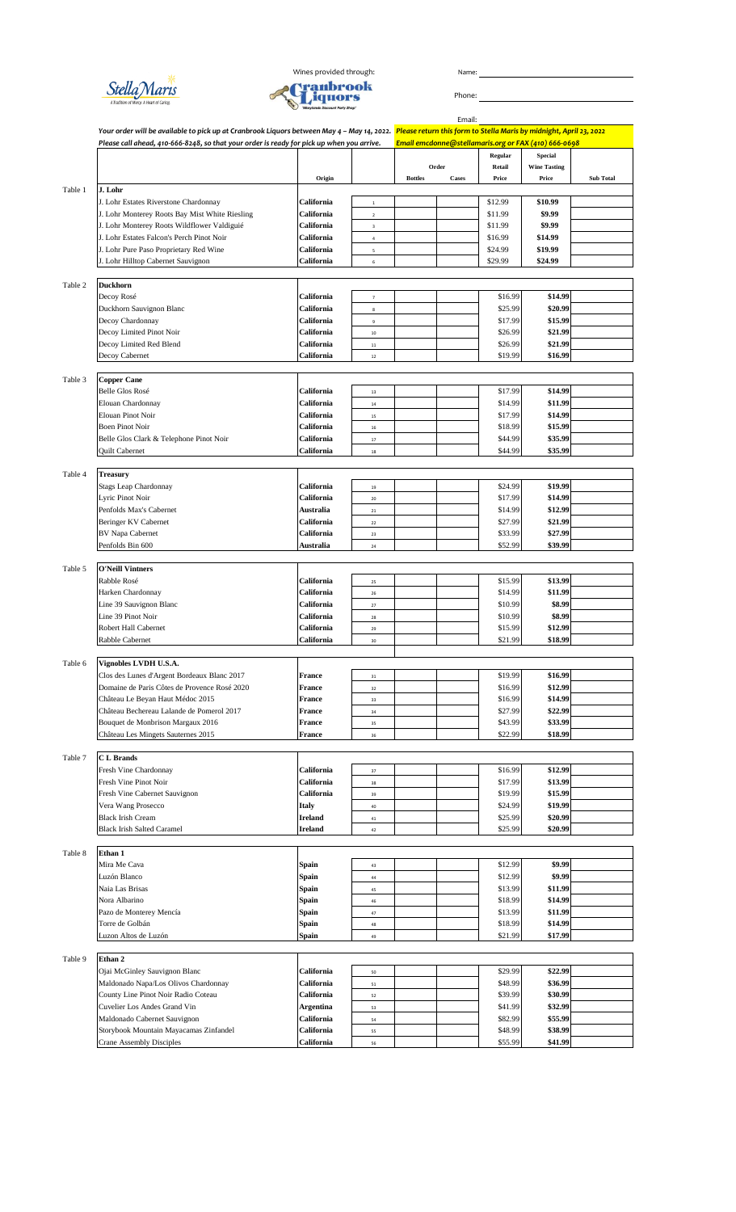



Email: *Your order will be available to pick up at Cranbrook Liquors between May 4 – May 14, 2022. Please return this form to Stella Maris by midnight, April 23, 2022 Please call ahead, 410-666-8248, so that your order is ready for pick up when you arrive. Email emcdonne@stellamaris.org or FAX (410) 666-0698* **Regular Special Retail Wine Tasting Origin Bottles Cases Price Price Sub Total** Table 1 **J. Lohr** J. Lohr Estates Riverstone Chardonnay **California California** 1 **1** \$12.99 **\$10.99** \$10.99 J. Lohr Monterey Roots Bay Mist White Riesling **California California** 2 **\$9.99** \$9.99 J. Lohr Monterey Roots Wildflower Valdiguié **California** 3 **31.99** \$11.99 **\$9.99** \$9.99 J. Lohr Estates Falcon's Perch Pinot Noir **California** <sup>4</sup> \$16.99 **\$14.99** J. Lohr Pure Paso Proprietary Red Wine **California** <sup>5</sup> \$24.99 **\$19.99** J. Lohr Hilltop Cabernet Sauvignon **California** <sup>6</sup> \$29.99 **\$24.99** Table 2 **Duckhorn** Decoy Rosé **California** <sup>7</sup> \$16.99 **\$14.99** Duckhorn Sauvignon Blanc **California California** 8 **25.99 \$20.99 \$20.99** Decoy Chardonnay **California California** 9 **17.99 \$15.99 \$15.99 \$15.99 \$15.99 \$15.99 \$15.99 \$15.99** Decoy Limited Pinot Noir **California** 10 **California** 10 **\$20.99 \$21.99 \$21.99** Decoy Limited Red Blend **California California** 11 **11** \$26.99 **\$21.99 \$21.99** Decoy Cabernet **California** 12 **\$16.99 \$16.99 \$16.99** Table 3 **Copper Cane** Belle Glos Rosé **California** <sup>13</sup> \$17.99 **\$14.99** Elouan Chardonnay **California California** 14 **\$11.99 \$11.99 \$11.99** Elouan Pinot Noir **California** <sup>15</sup> \$17.99 **\$14.99** Boen Pinot Noir **Similar Similar California** 16 and 16 **\$15.99 \$15.99 \$15.99** Belle Glos Clark & Telephone Pinot Noir **California** 17 **1999 \$35.99 \$35.99 \$35.99** Quilt Cabernet **California** <sup>18</sup> \$44.99 **\$35.99** Table 4 **Treasury** Stags Leap Chardonnay **California** 19 **California** 19 **\$19.99 \$19.99 \$19.99** Lyric Pinot Noir **California** 20 **California** 20 **\$17.99 \$14.99 \$14.99** Penfolds Max's Cabernet **Australia Australia** 21 **1 14.99 \$12.99 \$12.99** Beringer KV Cabernet **California California** 22 **1.99 \$21.99 \$21.99 \$21.99 \$27.99 \$27.99 \$27.99 \$27.99** BV Napa Cabernet **California** 23 **California** 23 **199 \$27.99 \$27.99 Penfolds Bin 600 Australia Australia** 24 **1 1 552.99 \$39.99 \$39.99** Table 5 **O'Neill Vintners** Rabble Rosé **California** 25 **California** 25 **California** 25 **13.99 \$13.99 California** 26 **\$11.99 \$11.99 \$11.99 \$11.99 Line 39 Sauvignon Blanc Since 39** Second State **California** 27 **1988.99 \$8.99 \$8.99 \$8.99 \$8.99 \$8.99 \$8.99 \$8.99 \$8.99 \$8.99** Line 39 Pinot Noir **California** <sup>28</sup> \$10.99 **\$8.99** Robert Hall Cabernet **California California** 29 **12.99** \$12.99 \$12.99 Rabble Cabernet **California California** 30 **18.99 \$18.99 \$18.99** Table 6 **Vignobles LVDH U.S.A.** Clos des Lunes d'Argent Bordeaux Blanc 2017 **France** 31 **France** 31 **France** 31 **France** 31 **France** 31 **France** 31 **France** 31 **France** 31 **France** 31 **France** 31 **France** 31 **France** 31 **France** 31 **France** 312.99 **\$12.9** Domaine de Paris Côtes de Provence Rosé 2020 **France** 32 **\$16.99 \$16.99** Château Le Beyan Haut Médoc 2015 **France** 516.99 **\$14.99 \$14.99 \$14.99 \$14.99 \$14.99 \$14.99 \$22.99 \$22.99 Château Bechereau Lalande de Pomerol 2017** Bouquet de Monbrison Margaux 2016 **France** 35 **France** 35 **1999 \$33.99 \$33.99 \$33.99 Château Les Mingets Sauternes 2015 France France** 36 **\$18.99 \$18.99 \$18.99** Table 7 **C L Brands California** 37 **1988 S16.99 \$12.99 \$12.99** Fresh Vine Pinot Noir **California** <sup>38</sup> \$17.99 **\$13.99 Fresh Vine Cabernet Sauvignon California** 39 **\$15.99 \$15.99 \$15.99 \$15.99** Vera Wang Prosecco **Italy** 1999 **19.99 \$19.99 \$19.99** Black Irish Cream **Ireland Ireland** 41 **1** \$25.99 **\$20.99 \$20.99 Black Irish Salted Caramel 19 12 12 13 13 14 14 14 14 14 14 14 14 14 14 14 14 15 16.99 <b>\$20.99 \$20.99** Table 8 **Ethan 1** Mira Me Cava **Spain Spain All Accords Spain 1** 43 **12.99 \$9.99 \$9.99** Luzón Blanco **Spain** <sup>44</sup> \$12.99 **\$9.99** Naia Las Brisas **Spain** <sup>45</sup> \$13.99 **\$11.99** Nora Albarino **Spain** <sup>46</sup> \$18.99 **\$14.99** Pazo de Monterey Mencía **Spain** <sup>47</sup> \$13.99 **\$11.99** Torre de Golbán **Spain Spain** 48 **\$18.99 \$14.99 \$14.99** Luzon Altos de Luzón **Spain** <sup>49</sup> \$21.99 **\$17.99** Table 9 **Ethan 2** Ojai McGinley Sauvignon Blanc **California** 50 **California** 50 **\$22.99 \$22.99 \$22.99** Maldonado Napa/Los Olivos Chardonnay **California** 51 51 516.99 **\$36.99** \$36.99<br>County Line Pinot Noir Radio Coteau **California** 52 539.99 \$30.99 County Line Pinot Noir Radio Coteau **California** 52 539.99 **\$30.99** 530.99 **\$30.99** 530.99 **\$30.99** S32.99 **\$30.99** 532.99 Cuvelier Los Andes Grand Vin **Argentina** 53 Maldonado Cabernet Sauvignon **California California** 54 **1991 \$55.99 \$55.99 \$55.99** Storybook Mountain Mayacamas Zinfandel **California** 55 **\$38.99** \$38.99 **\$38.99** \$38.99 Crane Assembly Disciples **California** 56 **55.99 \$41.99 \$41.99 Order**